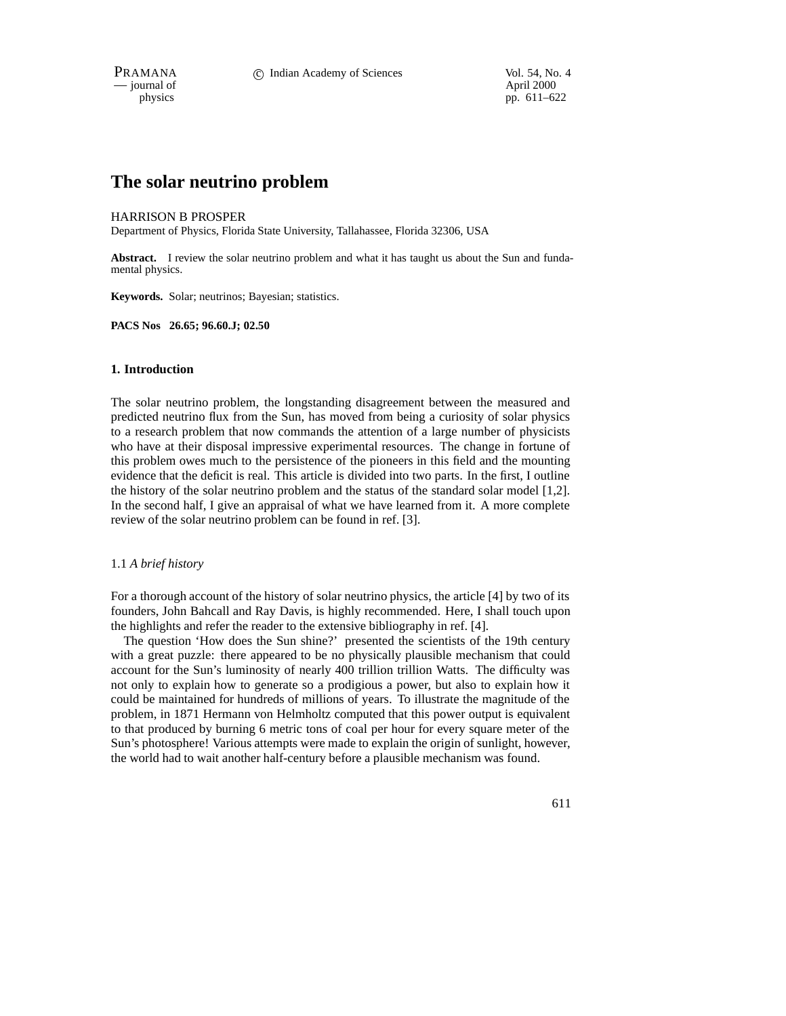$-$  journal of

physics pp. 611–622

# **The solar neutrino problem**

#### HARRISON B PROSPER

Department of Physics, Florida State University, Tallahassee, Florida 32306, USA

**Abstract.** I review the solar neutrino problem and what it has taught us about the Sun and fundamental physics.

**Keywords.** Solar; neutrinos; Bayesian; statistics.

**PACS Nos 26.65; 96.60.J; 02.50**

### **1. Introduction**

The solar neutrino problem, the longstanding disagreement between the measured and predicted neutrino flux from the Sun, has moved from being a curiosity of solar physics to a research problem that now commands the attention of a large number of physicists who have at their disposal impressive experimental resources. The change in fortune of this problem owes much to the persistence of the pioneers in this field and the mounting evidence that the deficit is real. This article is divided into two parts. In the first, I outline the history of the solar neutrino problem and the status of the standard solar model [1,2]. In the second half, I give an appraisal of what we have learned from it. A more complete review of the solar neutrino problem can be found in ref. [3].

## 1.1 *A brief history*

For a thorough account of the history of solar neutrino physics, the article [4] by two of its founders, John Bahcall and Ray Davis, is highly recommended. Here, I shall touch upon the highlights and refer the reader to the extensive bibliography in ref. [4].

The question 'How does the Sun shine?' presented the scientists of the 19th century with a great puzzle: there appeared to be no physically plausible mechanism that could account for the Sun's luminosity of nearly 400 trillion trillion Watts. The difficulty was not only to explain how to generate so a prodigious a power, but also to explain how it could be maintained for hundreds of millions of years. To illustrate the magnitude of the problem, in 1871 Hermann von Helmholtz computed that this power output is equivalent to that produced by burning 6 metric tons of coal per hour for every square meter of the Sun's photosphere! Various attempts were made to explain the origin of sunlight, however, the world had to wait another half-century before a plausible mechanism was found.

611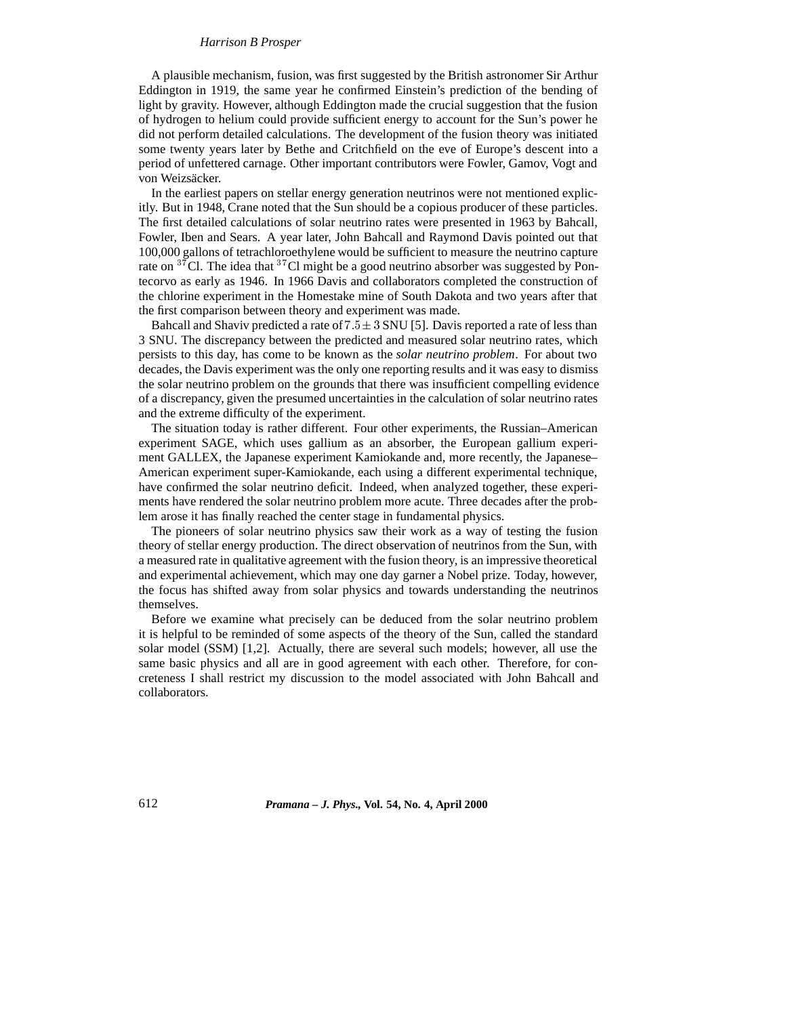#### *Harrison B Prosper*

A plausible mechanism, fusion, was first suggested by the British astronomer Sir Arthur Eddington in 1919, the same year he confirmed Einstein's prediction of the bending of light by gravity. However, although Eddington made the crucial suggestion that the fusion of hydrogen to helium could provide sufficient energy to account for the Sun's power he did not perform detailed calculations. The development of the fusion theory was initiated some twenty years later by Bethe and Critchfield on the eve of Europe's descent into a period of unfettered carnage. Other important contributors were Fowler, Gamov, Vogt and von Weizsäcker.

In the earliest papers on stellar energy generation neutrinos were not mentioned explicitly. But in 1948, Crane noted that the Sun should be a copious producer of these particles. The first detailed calculations of solar neutrino rates were presented in 1963 by Bahcall, Fowler, Iben and Sears. A year later, John Bahcall and Raymond Davis pointed out that 100,000 gallons of tetrachloroethylene would be sufficient to measure the neutrino capture rate on  $37^{\circ}$ Cl. The idea that  $37^{\circ}$ Cl might be a good neutrino absorber was suggested by Pontecorvo as early as 1946. In 1966 Davis and collaborators completed the construction of the chlorine experiment in the Homestake mine of South Dakota and two years after that the first comparison between theory and experiment was made.

Bahcall and Shaviv predicted a rate of  $7.5 \pm 3$  SNU [5]. Davis reported a rate of less than 3 SNU. The discrepancy between the predicted and measured solar neutrino rates, which persists to this day, has come to be known as the *solar neutrino problem*. For about two decades, the Davis experiment was the only one reporting results and it was easy to dismiss the solar neutrino problem on the grounds that there was insufficient compelling evidence of a discrepancy, given the presumed uncertainties in the calculation of solar neutrino rates and the extreme difficulty of the experiment.

The situation today is rather different. Four other experiments, the Russian–American experiment SAGE, which uses gallium as an absorber, the European gallium experiment GALLEX, the Japanese experiment Kamiokande and, more recently, the Japanese– American experiment super-Kamiokande, each using a different experimental technique, have confirmed the solar neutrino deficit. Indeed, when analyzed together, these experiments have rendered the solar neutrino problem more acute. Three decades after the problem arose it has finally reached the center stage in fundamental physics.

The pioneers of solar neutrino physics saw their work as a way of testing the fusion theory of stellar energy production. The direct observation of neutrinos from the Sun, with a measured rate in qualitative agreement with the fusion theory, is an impressive theoretical and experimental achievement, which may one day garner a Nobel prize. Today, however, the focus has shifted away from solar physics and towards understanding the neutrinos themselves.

Before we examine what precisely can be deduced from the solar neutrino problem it is helpful to be reminded of some aspects of the theory of the Sun, called the standard solar model (SSM) [1,2]. Actually, there are several such models; however, all use the same basic physics and all are in good agreement with each other. Therefore, for concreteness I shall restrict my discussion to the model associated with John Bahcall and collaborators.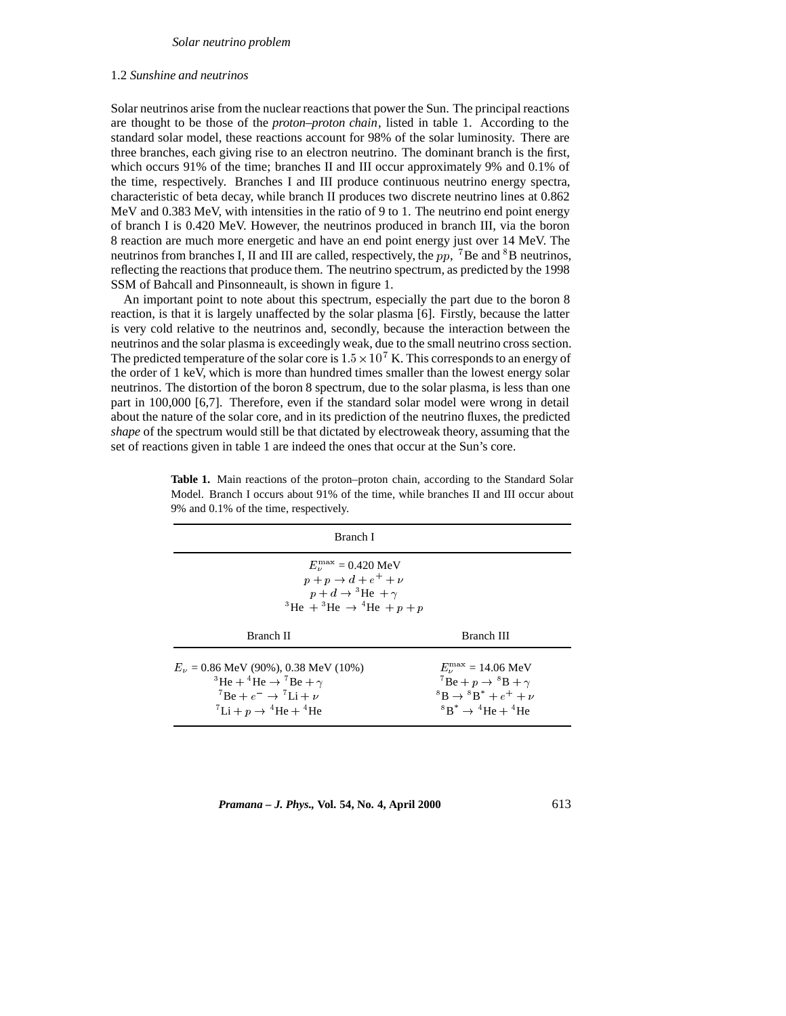## 1.2 *Sunshine and neutrinos*

Solar neutrinos arise from the nuclear reactions that power the Sun. The principal reactions are thought to be those of the *proton–proton chain*, listed in table 1. According to the standard solar model, these reactions account for 98% of the solar luminosity. There are three branches, each giving rise to an electron neutrino. The dominant branch is the first, which occurs 91% of the time; branches II and III occur approximately 9% and 0.1% of the time, respectively. Branches I and III produce continuous neutrino energy spectra, characteristic of beta decay, while branch II produces two discrete neutrino lines at 0.862 MeV and 0.383 MeV, with intensities in the ratio of 9 to 1. The neutrino end point energy of branch I is 0.420 MeV. However, the neutrinos produced in branch III, via the boron 8 reaction are much more energetic and have an end point energy just over 14 MeV. The neutrinos from branches I, II and III are called, respectively, the  $pp$ , <sup>7</sup>Be and <sup>8</sup>B neutrinos, reflecting the reactions that produce them. The neutrino spectrum, as predicted by the 1998 SSM of Bahcall and Pinsonneault, is shown in figure 1.

An important point to note about this spectrum, especially the part due to the boron 8 reaction, is that it is largely unaffected by the solar plasma [6]. Firstly, because the latter is very cold relative to the neutrinos and, secondly, because the interaction between the neutrinos and the solar plasma is exceedingly weak, due to the small neutrino cross section. The predicted temperature of the solar core is  $1.5 \times 10^7$  K. This corresponds to an energy of the order of 1 keV, which is more than hundred times smaller than the lowest energy solar neutrinos. The distortion of the boron 8 spectrum, due to the solar plasma, is less than one part in 100,000 [6,7]. Therefore, even if the standard solar model were wrong in detail about the nature of the solar core, and in its prediction of the neutrino fluxes, the predicted *shape* of the spectrum would still be that dictated by electroweak theory, assuming that the set of reactions given in table 1 are indeed the ones that occur at the Sun's core.

| Branch I                                                                                                                                                                                                                                  |                                                                                                                                                                                         |
|-------------------------------------------------------------------------------------------------------------------------------------------------------------------------------------------------------------------------------------------|-----------------------------------------------------------------------------------------------------------------------------------------------------------------------------------------|
| $E_{\nu}^{\max}$ = 0.420 MeV<br>$p+p\rightarrow d+e^++\nu$<br>$p + d \rightarrow {}^{3}\text{He} + \gamma$<br><sup>3</sup> He + <sup>3</sup> He $\rightarrow$ <sup>4</sup> He + p + p                                                     |                                                                                                                                                                                         |
| Branch II                                                                                                                                                                                                                                 | Branch III                                                                                                                                                                              |
| $E_{\nu} = 0.86$ MeV (90%), 0.38 MeV (10%)<br><sup>3</sup> He + <sup>4</sup> He $\rightarrow$ <sup>7</sup> Be + $\gamma$<br>$^7$ Be + $e^ \rightarrow$ $^7$ Li + $\nu$<br>${}^{7}$ Li + p $\rightarrow$ <sup>4</sup> He + <sup>4</sup> He | $E_v^{\text{max}} = 14.06 \text{ MeV}$<br>${}^{7}Be + p \rightarrow {}^{8}B + \gamma$<br>${}^{8}B \rightarrow {}^{8}B^{*} + e^{+} + \nu$<br>${}^{8}B^* \rightarrow {}^{4}He + {}^{4}He$ |

**Table 1.** Main reactions of the proton–proton chain, according to the Standard Solar Model. Branch I occurs about 91% of the time, while branches II and III occur about 9% and 0.1% of the time, respectively.

*Pramana – J. Phys.,* **Vol. 54, No. 4, April 2000** 613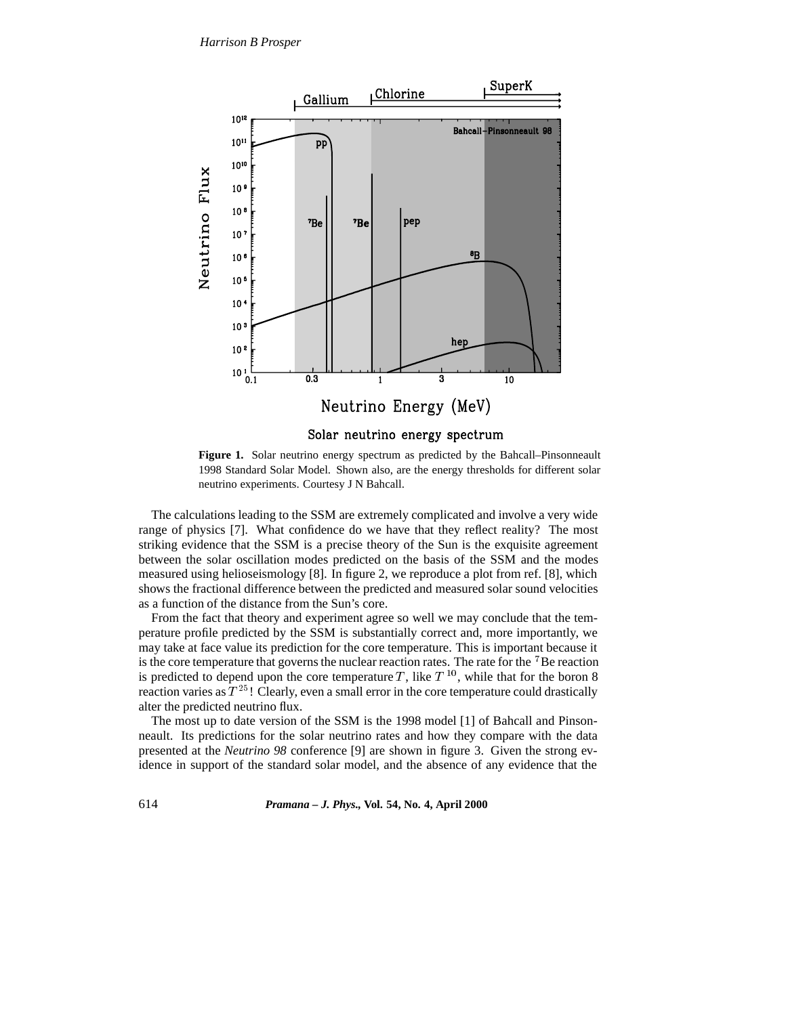

**Figure 1.** Solar neutrino energy spectrum as predicted by the Bahcall–Pinsonneault 1998 Standard Solar Model. Shown also, are the energy thresholds for different solar neutrino experiments. Courtesy J N Bahcall.

The calculations leading to the SSM are extremely complicated and involve a very wide range of physics [7]. What confidence do we have that they reflect reality? The most striking evidence that the SSM is a precise theory of the Sun is the exquisite agreement between the solar oscillation modes predicted on the basis of the SSM and the modes measured using helioseismology [8]. In figure 2, we reproduce a plot from ref. [8], which shows the fractional difference between the predicted and measured solar sound velocities as a function of the distance from the Sun's core.

From the fact that theory and experiment agree so well we may conclude that the temperature profile predicted by the SSM is substantially correct and, more importantly, we may take at face value its prediction for the core temperature. This is important because it is the core temperature that governs the nuclear reaction rates. The rate for the  $\mathrm{^{7}Be}$  reaction is predicted to depend upon the core temperature T, like  $T^{10}$ , while that for the boron 8 reaction varies as  $T^{25}$ ! Clearly, even a small error in the core temperature could drastically alter the predicted neutrino flux.

The most up to date version of the SSM is the 1998 model [1] of Bahcall and Pinsonneault. Its predictions for the solar neutrino rates and how they compare with the data presented at the *Neutrino 98* conference [9] are shown in figure 3. Given the strong evidence in support of the standard solar model, and the absence of any evidence that the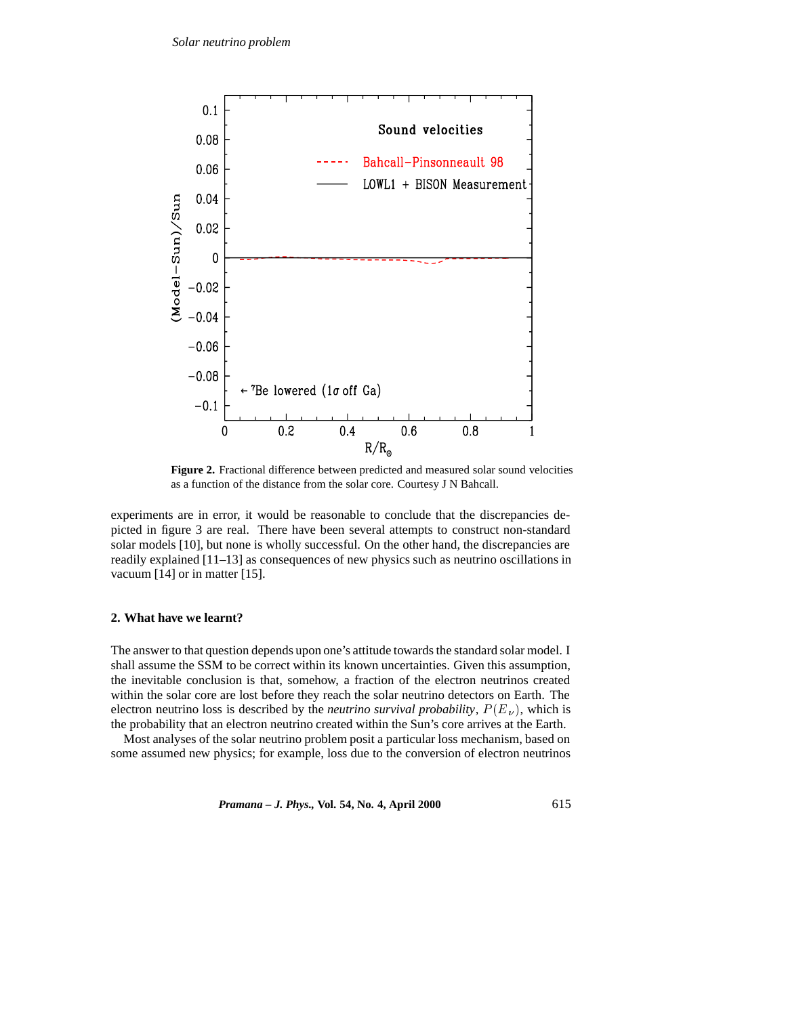

**Figure 2.** Fractional difference between predicted and measured solar sound velocities as a function of the distance from the solar core. Courtesy J N Bahcall.

experiments are in error, it would be reasonable to conclude that the discrepancies depicted in figure 3 are real. There have been several attempts to construct non-standard solar models [10], but none is wholly successful. On the other hand, the discrepancies are readily explained [11–13] as consequences of new physics such as neutrino oscillations in vacuum [14] or in matter [15].

#### **2. What have we learnt?**

The answer to that question depends upon one's attitude towards the standard solar model. I shall assume the SSM to be correct within its known uncertainties. Given this assumption, the inevitable conclusion is that, somehow, a fraction of the electron neutrinos created within the solar core are lost before they reach the solar neutrino detectors on Earth. The electron neutrino loss is described by the *neutrino survival probability*,  $P(E_{\nu})$ , which is the probability that an electron neutrino created within the Sun's core arrives at the Earth.

Most analyses of the solar neutrino problem posit a particular loss mechanism, based on some assumed new physics; for example, loss due to the conversion of electron neutrinos

*Pramana – J. Phys.,* **Vol. 54, No. 4, April 2000** 615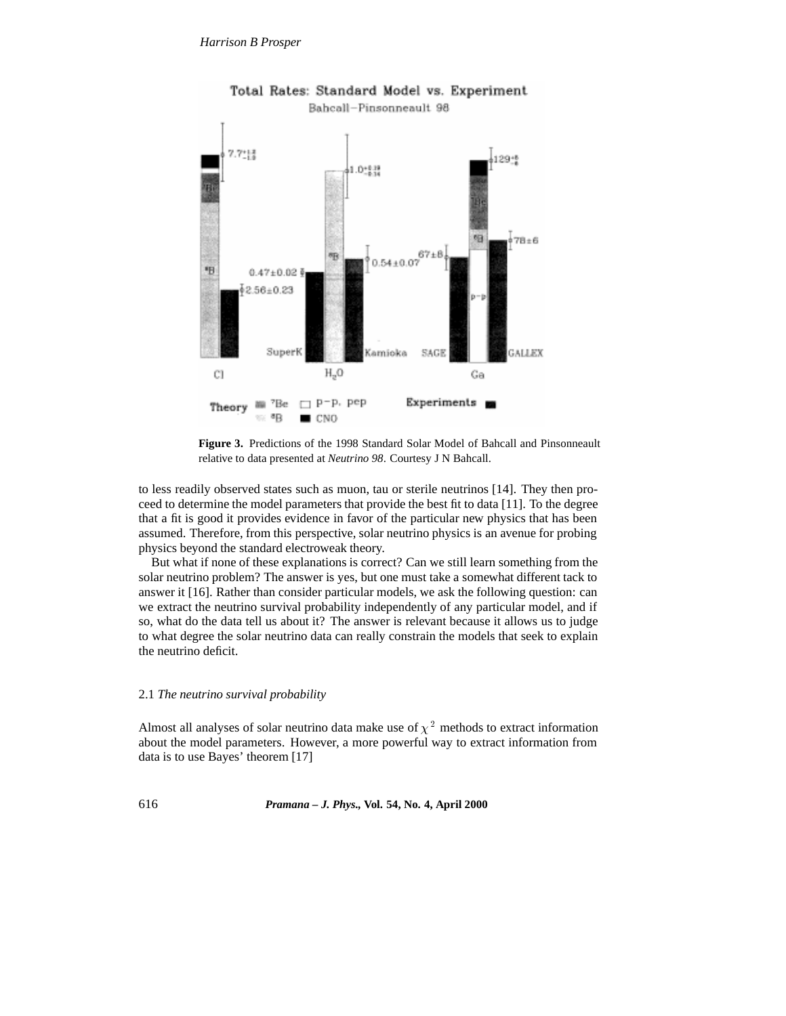

Total Rates: Standard Model vs. Experiment Bahcall-Pinsonneault 98

**Figure 3.** Predictions of the 1998 Standard Solar Model of Bahcall and Pinsonneault relative to data presented at *Neutrino 98*. Courtesy J N Bahcall.

to less readily observed states such as muon, tau or sterile neutrinos [14]. They then proceed to determine the model parameters that provide the best fit to data [11]. To the degree that a fit is good it provides evidence in favor of the particular new physics that has been assumed. Therefore, from this perspective, solar neutrino physics is an avenue for probing physics beyond the standard electroweak theory.

But what if none of these explanations is correct? Can we still learn something from the solar neutrino problem? The answer is yes, but one must take a somewhat different tack to answer it [16]. Rather than consider particular models, we ask the following question: can we extract the neutrino survival probability independently of any particular model, and if so, what do the data tell us about it? The answer is relevant because it allows us to judge to what degree the solar neutrino data can really constrain the models that seek to explain the neutrino deficit.

## 2.1 *The neutrino survival probability*

Almost all analyses of solar neutrino data make use of  $\chi^2$  methods to extract information about the model parameters. However, a more powerful way to extract information from data is to use Bayes' theorem [17]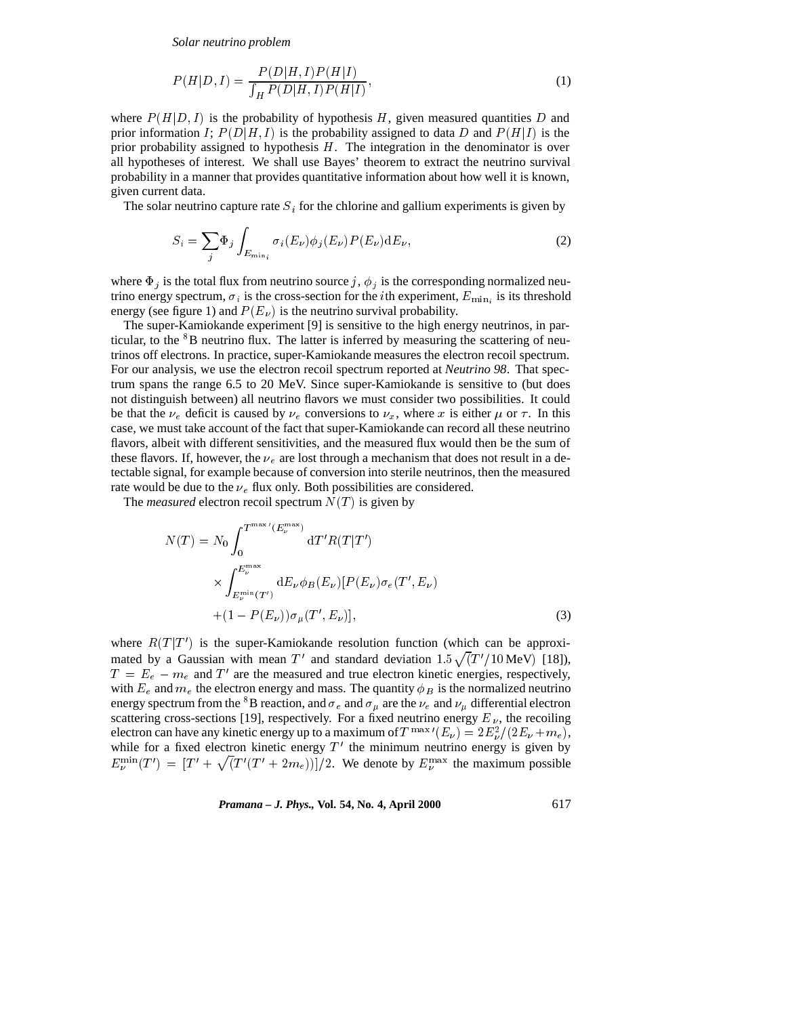*Solar neutrino problem*

$$
P(H|D, I) = \frac{P(D|H, I)P(H|I)}{\int_{H} P(D|H, I)P(H|I)},
$$
\n(1)

where  $P(H|D, I)$  is the probability of hypothesis H, given measured quantities D and prior information I;  $P(D|H, I)$  is the probability assigned to data D and  $P(H|I)$  is the prior probability assigned to hypothesis  $H$ . The integration in the denominator is over all hypotheses of interest. We shall use Bayes' theorem to extract the neutrino survival probability in a manner that provides quantitative information about how well it is known, given current data.

The solar neutrino capture rate  $S_i$  for the chlorine and gallium experiments is given by

$$
S_i = \sum_j \Phi_j \int_{E_{\min_i}} \sigma_i(E_\nu) \phi_j(E_\nu) P(E_\nu) dE_\nu,
$$
\n(2)

where  $\Phi_j$  is the total flux from neutrino source j,  $\phi_j$  is the corresponding normalized neutrino energy spectrum,  $\sigma_i$  is the cross-section for the *i*th experiment,  $E_{\min_i}$  is its threshold energy (see figure 1) and  $P(E_{\nu})$  is the neutrino survival probability.

The super-Kamiokande experiment [9] is sensitive to the high energy neutrinos, in particular, to the <sup>8</sup>B neutrino flux. The latter is inferred by measuring the scattering of neutrinos off electrons. In practice, super-Kamiokande measures the electron recoil spectrum. For our analysis, we use the electron recoil spectrum reported at *Neutrino 98*. That spectrum spans the range 6.5 to 20 MeV. Since super-Kamiokande is sensitive to (but does not distinguish between) all neutrino flavors we must consider two possibilities. It could be that the  $\nu_e$  deficit is caused by  $\nu_e$  conversions to  $\nu_x$ , where x is either  $\mu$  or  $\tau$ . In this case, we must take account of the fact that super-Kamiokande can record all these neutrino flavors, albeit with different sensitivities, and the measured flux would then be the sum of these flavors. If, however, the  $\nu_e$  are lost through a mechanism that does not result in a detectable signal, for example because of conversion into sterile neutrinos, then the measured rate would be due to the  $\nu_e$  flux only. Both possibilities are considered.

The *measured* electron recoil spectrum  $N(T)$  is given by

$$
N(T) = N_0 \int_0^{T^{\max'}(E_{\nu}^{\max})} dT'R(T|T')
$$
  
 
$$
\times \int_{E_{\nu}^{\min}(T')}^{E_{\nu}^{\max}} dE_{\nu} \phi_B(E_{\nu})[P(E_{\nu})\sigma_e(T', E_{\nu})
$$
  
+ (1 - P(E\_{\nu}))\sigma\_{\mu}(T', E\_{\nu})], (3)

where  $R(T|T')$  is the super-Kamiokande resolution function (which can be approximated by a Gaussian with mean T' and standard deviation  $1.5\sqrt{(T'/10 \text{ MeV})}$  [18]),  $T = E_e - m_e$  and T' are the measured and true electron kinetic energies, respectively, with  $E_e$  and  $m_e$  the electron energy and mass. The quantity  $\phi_B$  is the normalized neutrino energy spectrum from the  ${}^{8}B$  reaction, and  $\sigma_e$  and  $\sigma_\mu$  are the  $\nu_e$  and  $\nu_\mu$  differential electron scattering cross-sections [19], respectively. For a fixed neutrino energy  $E_{\nu}$ , the recoiling electron can have any kinetic energy up to a maximum of  $T^{max'}(E_{\nu})=2E_{\nu}^2/(2E_{\nu}+m_e)$ , while for a fixed electron kinetic energy  $T'$  the minimum neutrino energy is given by  $E_{\nu}^{\min}(T') = [T' + \sqrt{(T'(T' + 2m_e))}]/2$ . We denote by  $E_{\nu}^{\max}$  the maximum possible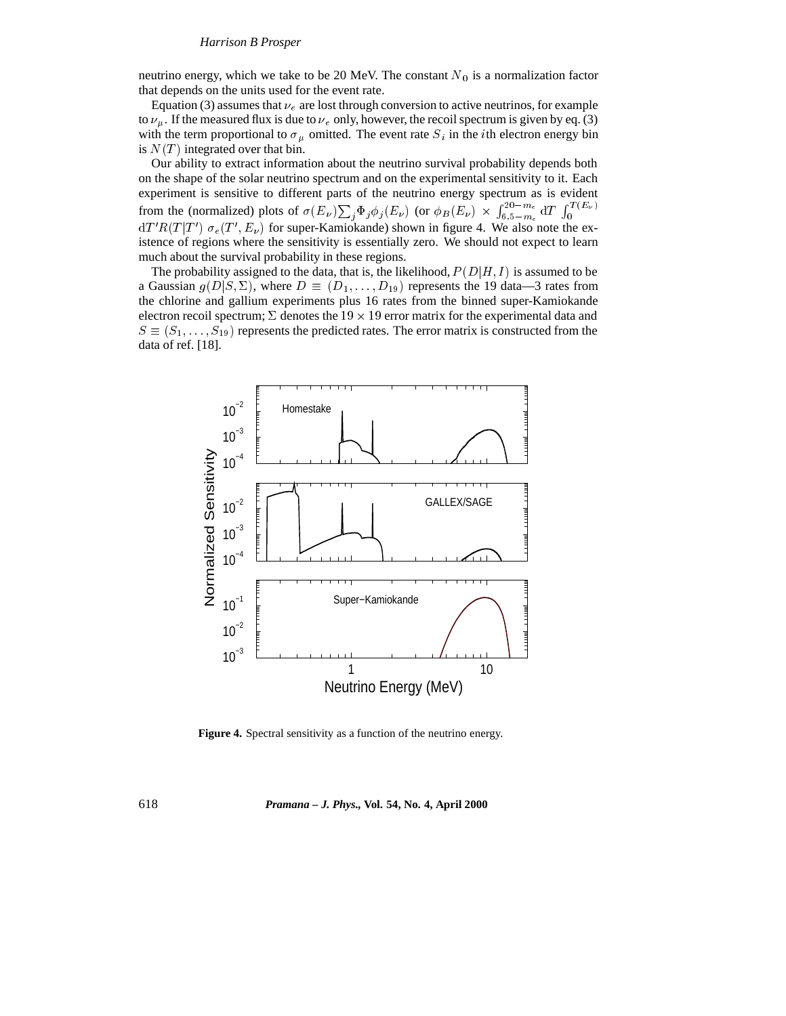neutrino energy, which we take to be 20 MeV. The constant  $N_0$  is a normalization factor that depends on the units used for the event rate.

Equation (3) assumes that  $\nu_e$  are lost through conversion to active neutrinos, for example to  $\nu_{\mu}$ . If the measured flux is due to  $\nu_{e}$  only, however, the recoil spectrum is given by eq. (3) with the term proportional to  $\sigma_{\mu}$  omitted. The event rate  $S_i$  in the *i*th electron energy bin is  $N(T)$  integrated over that bin.

Our ability to extract information about the neutrino survival probability depends both on the shape of the solar neutrino spectrum and on the experimental sensitivity to it. Each experiment is sensitive to different parts of the neutrino energy spectrum as is evident from the (normalized) plots of  $\sigma(E_{\nu})\sum_{j}\Phi_{j}\phi_{j}(E_{\nu})$  (or  $\phi_{B}(E_{\nu}) \times \int_{6.5-m_{\circ}}^{20-m_{e}} dT$  J  $\int_{6.5-m_e}^{20-m_e} dT \int_0^{1}$  $dT'R(T|T') \sigma_e(T', E_{\nu})$  for super-Kamiokande) shown in figure 4. We also note the existence of regions where the sensitivity is essentially zero. We should not expect to learn much about the survival probability in these regions.

The probability assigned to the data, that is, the likelihood,  $P(D|H, I)$  is assumed to be a Gaussian  $g(D|S, \Sigma)$ , where  $D \equiv (D_1, \ldots, D_{19})$  represents the 19 data—3 rates from the chlorine and gallium experiments plus 16 rates from the binned super-Kamiokande electron recoil spectrum;  $\Sigma$  denotes the 19  $\times$  19 error matrix for the experimental data and  $S \equiv (S_1,\ldots,S_{19})$  represents the predicted rates. The error matrix is constructed from the data of ref. [18].



**Figure 4.** Spectral sensitivity as a function of the neutrino energy.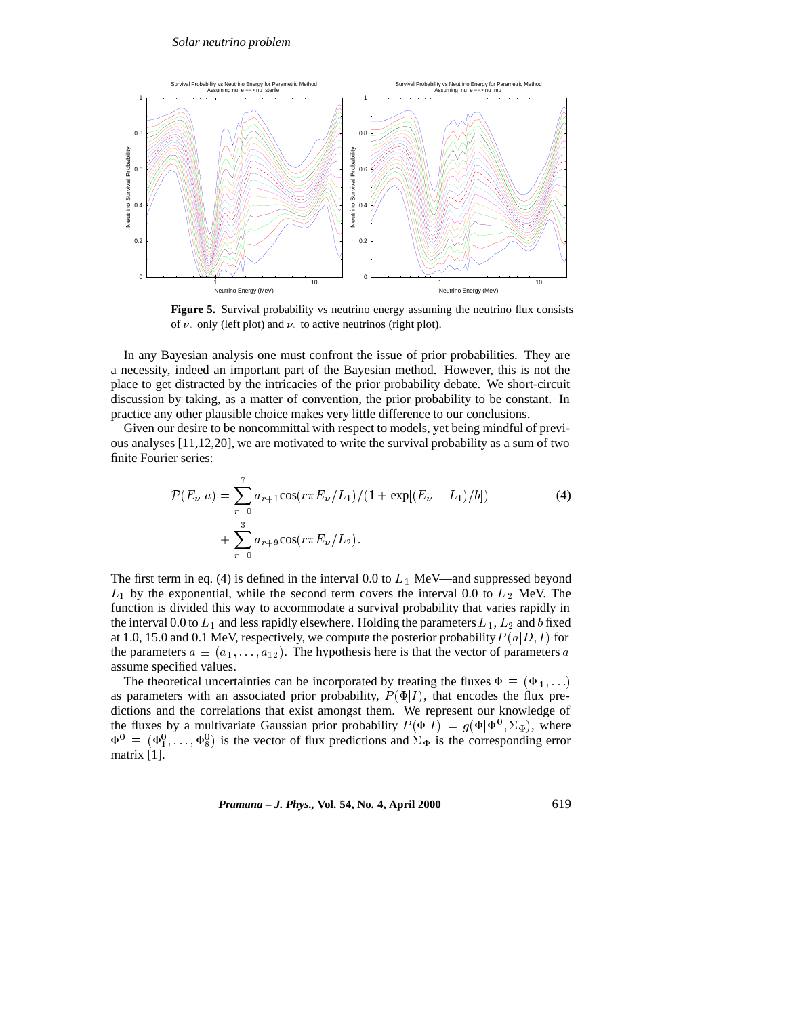

Figure 5. Survival probability vs neutrino energy assuming the neutrino flux consists of  $\nu_e$  only (left plot) and  $\nu_e$  to active neutrinos (right plot).

In any Bayesian analysis one must confront the issue of prior probabilities. They are a necessity, indeed an important part of the Bayesian method. However, this is not the place to get distracted by the intricacies of the prior probability debate. We short-circuit discussion by taking, as a matter of convention, the prior probability to be constant. In practice any other plausible choice makes very little difference to our conclusions.

Given our desire to be noncommittal with respect to models, yet being mindful of previous analyses [11,12,20], we are motivated to write the survival probability as a sum of two finite Fourier series:

$$
\mathcal{P}(E_{\nu}|a) = \sum_{r=0}^{7} a_{r+1} \cos(r\pi E_{\nu}/L_1)/(1 + \exp[(E_{\nu} - L_1)/b])
$$
\n
$$
+ \sum_{r=0}^{3} a_{r+9} \cos(r\pi E_{\nu}/L_2).
$$
\n(4)

The first term in eq. (4) is defined in the interval 0.0 to  $L_1$  MeV—and suppressed beyond  $L_1$  by the exponential, while the second term covers the interval 0.0 to  $L_2$  MeV. The function is divided this way to accommodate a survival probability that varies rapidly in the interval 0.0 to  $L_1$  and less rapidly elsewhere. Holding the parameters  $L_1$ ,  $L_2$  and b fixed at 1.0, 15.0 and 0.1 MeV, respectively, we compute the posterior probability  $P(a|D, I)$  for the parameters  $a \equiv (a_1, \ldots, a_{12})$ . The hypothesis here is that the vector of parameters a assume specified values.

The theoretical uncertainties can be incorporated by treating the fluxes  $\Phi \equiv (\Phi_1,\ldots)$ as parameters with an associated prior probability,  $P(\Phi|I)$ , that encodes the flux predictions and the correlations that exist amongst them. We represent our knowledge of the fluxes by a multivariate Gaussian prior probability  $P(\Phi|I) = g(\Phi|\Phi^0, \Sigma_{\Phi})$ , where  $\Phi^0 \equiv (\Phi_1^0,\ldots,\Phi_8^0)$  is the vector of flux predictions and  $\Sigma_{\Phi}$  is the corresponding error matrix [1].

*Pramana – J. Phys.,* **Vol. 54, No. 4, April 2000** 619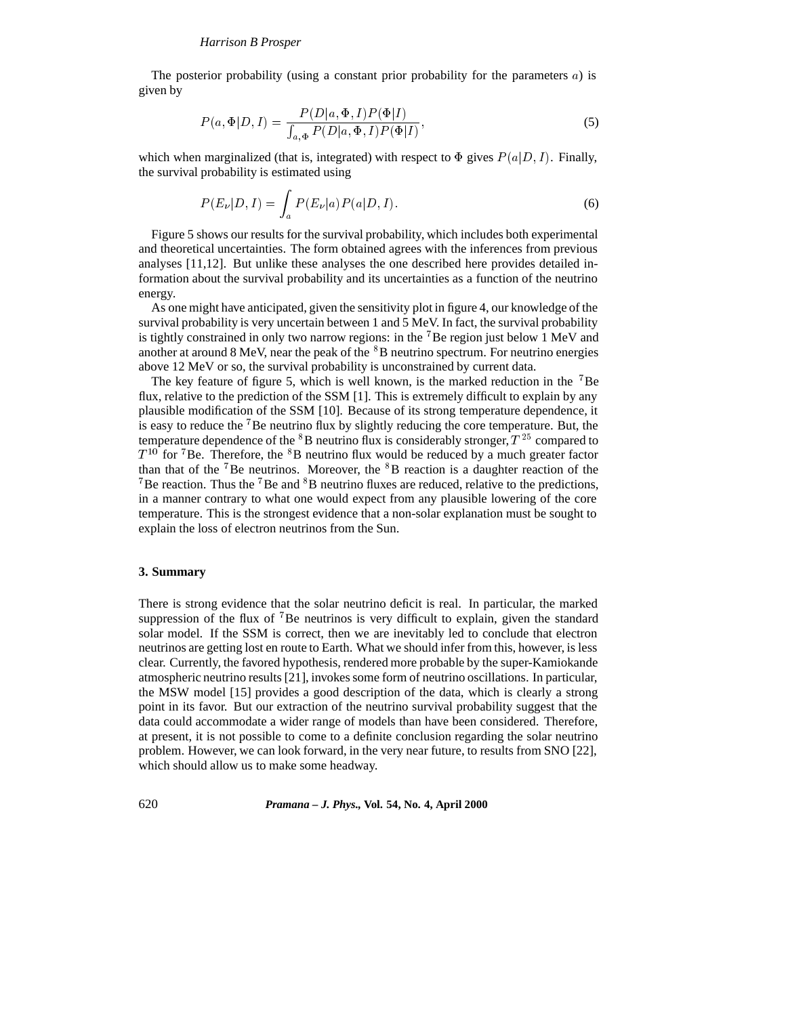The posterior probability (using a constant prior probability for the parameters  $a$ ) is given by

$$
P(a,\Phi|D,I) = \frac{P(D|a,\Phi,I)P(\Phi|I)}{\int_{a,\Phi} P(D|a,\Phi,I)P(\Phi|I)},\tag{5}
$$

which when marginalized (that is, integrated) with respect to  $\Phi$  gives  $P(a|D, I)$ . Finally, the survival probability is estimated using

$$
P(E_{\nu}|D, I) = \int_{a} P(E_{\nu}|a)P(a|D, I).
$$
 (6)

Figure 5 shows our results for the survival probability, which includes both experimental and theoretical uncertainties. The form obtained agrees with the inferences from previous analyses [11,12]. But unlike these analyses the one described here provides detailed information about the survival probability and its uncertainties as a function of the neutrino energy.

As one might have anticipated, given the sensitivity plot in figure 4, our knowledge of the survival probability is very uncertain between 1 and 5 MeV. In fact, the survival probability is tightly constrained in only two narrow regions: in the <sup>7</sup>Be region just below 1 MeV and another at around 8 MeV, near the peak of the  ${}^{8}B$  neutrino spectrum. For neutrino energies above 12 MeV or so, the survival probability is unconstrained by current data.

The key feature of figure 5, which is well known, is the marked reduction in the <sup>7</sup>Be flux, relative to the prediction of the SSM [1]. This is extremely difficult to explain by any plausible modification of the SSM [10]. Because of its strong temperature dependence, it is easy to reduce the <sup>7</sup>Be neutrino flux by slightly reducing the core temperature. But, the temperature dependence of the  ${}^{8}B$  neutrino flux is considerably stronger,  $T^{25}$  compared to  $T^{10}$  for <sup>7</sup>Be. Therefore, the <sup>8</sup>B neutrino flux would be reduced by a much greater factor than that of the  $\rm{7Be}$  neutrinos. Moreover, the  $\rm{8B}$  reaction is a daughter reaction of the <sup>7</sup>Be reaction. Thus the <sup>7</sup>Be and  ${}^{8}B$  neutrino fluxes are reduced, relative to the predictions, in a manner contrary to what one would expect from any plausible lowering of the core temperature. This is the strongest evidence that a non-solar explanation must be sought to explain the loss of electron neutrinos from the Sun.

## **3. Summary**

There is strong evidence that the solar neutrino deficit is real. In particular, the marked suppression of the flux of  $\sqrt{7}$ Be neutrinos is very difficult to explain, given the standard solar model. If the SSM is correct, then we are inevitably led to conclude that electron neutrinos are getting lost en route to Earth. What we should infer from this, however, is less clear. Currently, the favored hypothesis, rendered more probable by the super-Kamiokande atmospheric neutrino results [21], invokes some form of neutrino oscillations. In particular, the MSW model [15] provides a good description of the data, which is clearly a strong point in its favor. But our extraction of the neutrino survival probability suggest that the data could accommodate a wider range of models than have been considered. Therefore, at present, it is not possible to come to a definite conclusion regarding the solar neutrino problem. However, we can look forward, in the very near future, to results from SNO [22], which should allow us to make some headway.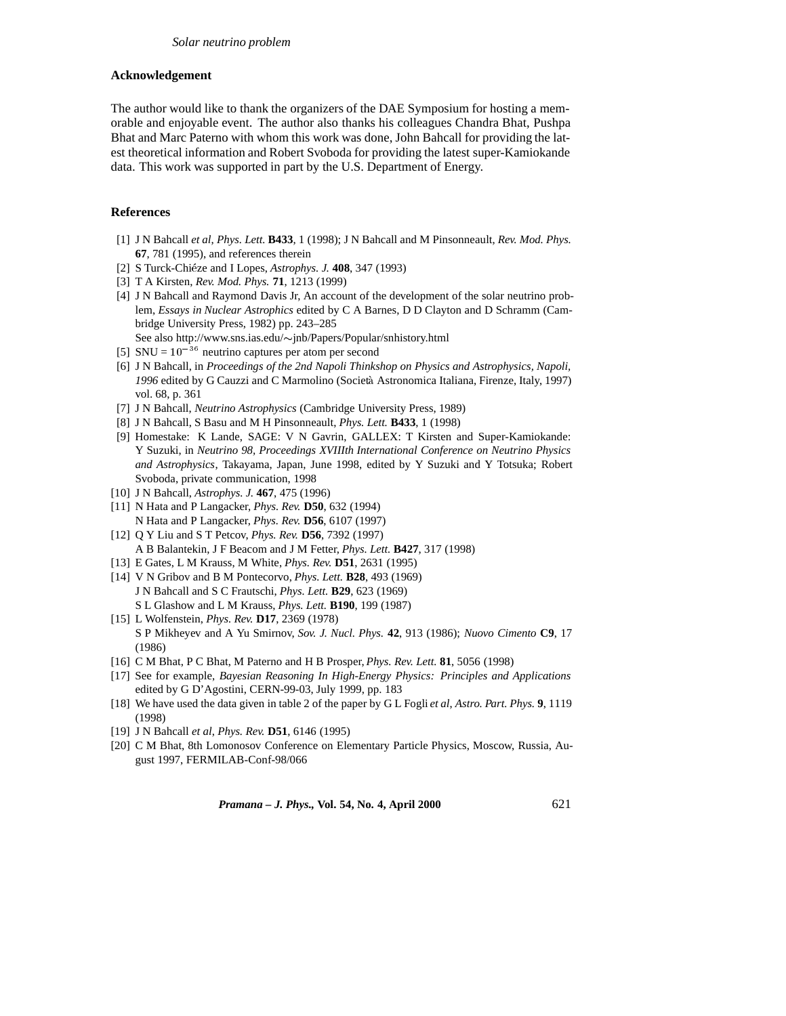## **Acknowledgement**

The author would like to thank the organizers of the DAE Symposium for hosting a memorable and enjoyable event. The author also thanks his colleagues Chandra Bhat, Pushpa Bhat and Marc Paterno with whom this work was done, John Bahcall for providing the latest theoretical information and Robert Svoboda for providing the latest super-Kamiokande data. This work was supported in part by the U.S. Department of Energy.

### **References**

- [1] J N Bahcall *et al*, *Phys. Lett.* **B433**, 1 (1998); J N Bahcall and M Pinsonneault, *Rev. Mod. Phys.* **67**, 781 (1995), and references therein
- [2] S Turck-Chieze and I Lopes, *Astrophys. J.* **408**, 347 (1993)
- [3] T A Kirsten, *Rev. Mod. Phys.* **71**, 1213 (1999)
- [4] J N Bahcall and Raymond Davis Jr, An account of the development of the solar neutrino problem, *Essays in Nuclear Astrophics* edited by C A Barnes, D D Clayton and D Schramm (Cambridge University Press, 1982) pp. 243–285
- See also http://www.sns.ias.edu/ $\sim$ jnb/Papers/Popular/snhistory.html
- [5] SNU =  $10^{-36}$  neutrino captures per atom per second
- [6] J N Bahcall, in *Proceedings of the 2nd Napoli Thinkshop on Physics and Astrophysics, Napoli, 1996* edited by G Cauzzi and C Marmolino (Societa Astronomica Italiana, Firenze, Italy, 1997) vol. 68, p. 361
- [7] J N Bahcall, *Neutrino Astrophysics* (Cambridge University Press, 1989)
- [8] J N Bahcall, S Basu and M H Pinsonneault, *Phys. Lett.* **B433**, 1 (1998)
- [9] Homestake: K Lande, SAGE: V N Gavrin, GALLEX: T Kirsten and Super-Kamiokande: Y Suzuki, in *Neutrino 98, Proceedings XVIIIth International Conference on Neutrino Physics and Astrophysics*, Takayama, Japan, June 1998, edited by Y Suzuki and Y Totsuka; Robert Svoboda, private communication, 1998
- [10] J N Bahcall, *Astrophys. J.* **467**, 475 (1996)
- [11] N Hata and P Langacker, *Phys. Rev.* **D50**, 632 (1994) N Hata and P Langacker, *Phys. Rev.* **D56**, 6107 (1997)
- [12] Q Y Liu and S T Petcov, *Phys. Rev.* **D56**, 7392 (1997) A B Balantekin, J F Beacom and J M Fetter, *Phys. Lett.* **B427**, 317 (1998)
- [13] E Gates, L M Krauss, M White, *Phys. Rev.* **D51**, 2631 (1995)
- [14] V N Gribov and B M Pontecorvo, *Phys. Lett.* **B28**, 493 (1969) J N Bahcall and S C Frautschi, *Phys. Lett.* **B29**, 623 (1969) S L Glashow and L M Krauss, *Phys. Lett.* **B190**, 199 (1987)
- [15] L Wolfenstein, *Phys. Rev.* **D17**, 2369 (1978) S P Mikheyev and A Yu Smirnov, *Sov. J. Nucl. Phys.* **42**, 913 (1986); *Nuovo Cimento* **C9**, 17 (1986)
- [16] C M Bhat, P C Bhat, M Paterno and H B Prosper, *Phys. Rev. Lett.* **81**, 5056 (1998)
- [17] See for example, *Bayesian Reasoning In High-Energy Physics: Principles and Applications* edited by G D'Agostini, CERN-99-03, July 1999, pp. 183
- [18] We have used the data given in table 2 of the paper by G L Fogli *et al*, *Astro. Part. Phys.* **9**, 1119 (1998)
- [19] J N Bahcall *et al*, *Phys. Rev.* **D51**, 6146 (1995)
- [20] C M Bhat, 8th Lomonosov Conference on Elementary Particle Physics, Moscow, Russia, August 1997, FERMILAB-Conf-98/066